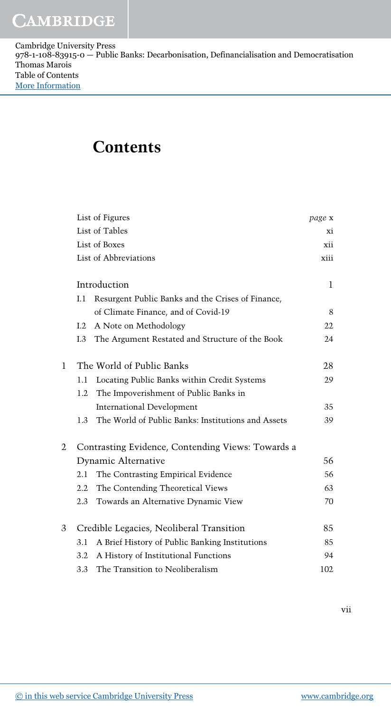| Cambridge University Press                                                                  |
|---------------------------------------------------------------------------------------------|
| $978-1-108-83915-0$ – Public Banks: Decarbonisation, Definancialisation and Democratisation |
| Thomas Marois                                                                               |
| Table of Contents                                                                           |
| More Information                                                                            |

## **Contents**

|   |                                          | List of Figures                                    | page x |  |
|---|------------------------------------------|----------------------------------------------------|--------|--|
|   |                                          | List of Tables                                     | Xİ.    |  |
|   | List of Boxes                            |                                                    |        |  |
|   | List of Abbreviations                    |                                                    |        |  |
|   | Introduction                             |                                                    |        |  |
|   | I.1                                      | Resurgent Public Banks and the Crises of Finance,  |        |  |
|   |                                          | of Climate Finance, and of Covid-19                | 8      |  |
|   | 1.2                                      | A Note on Methodology                              | 22     |  |
|   | I.3                                      | The Argument Restated and Structure of the Book    | 24     |  |
| 1 | The World of Public Banks                |                                                    | 28     |  |
|   | 1.1                                      | Locating Public Banks within Credit Systems        | 29     |  |
|   | 1.2                                      | The Impoverishment of Public Banks in              |        |  |
|   |                                          | International Development                          | 35     |  |
|   | 1.3                                      | The World of Public Banks: Institutions and Assets | 39     |  |
| 2 |                                          | Contrasting Evidence, Contending Views: Towards a  |        |  |
|   | Dynamic Alternative                      |                                                    |        |  |
|   | 2.1                                      | The Contrasting Empirical Evidence                 | 56     |  |
|   | $2.2\,$                                  | The Contending Theoretical Views                   | 63     |  |
|   | 2.3                                      | Towards an Alternative Dynamic View                | 70     |  |
| 3 | Credible Legacies, Neoliberal Transition |                                                    |        |  |
|   | 3.1                                      | A Brief History of Public Banking Institutions     | 85     |  |
|   | 3.2                                      | A History of Institutional Functions               | 94     |  |
|   | 3.3                                      | The Transition to Neoliberalism                    | 102    |  |

vii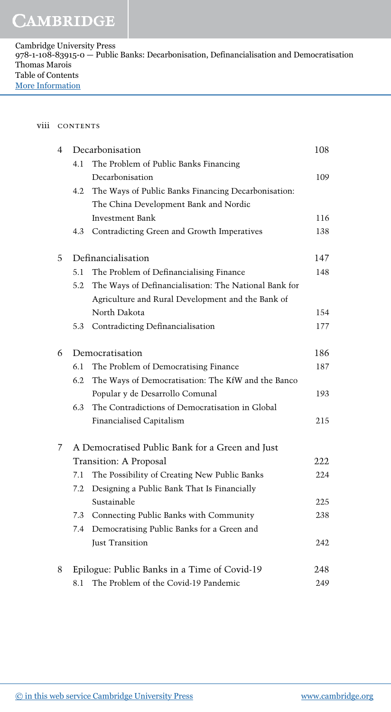## viii CONTENTS

| 4           | Decarbonisation    |                                                       |     |
|-------------|--------------------|-------------------------------------------------------|-----|
|             | 4.1                | The Problem of Public Banks Financing                 |     |
|             |                    | Decarbonisation                                       | 109 |
|             | 4.2                | The Ways of Public Banks Financing Decarbonisation:   |     |
|             |                    | The China Development Bank and Nordic                 |     |
|             |                    | <b>Investment Bank</b>                                | 116 |
|             | 4.3                | Contradicting Green and Growth Imperatives            | 138 |
| 5           | Definancialisation |                                                       |     |
|             | 5.1                | The Problem of Definancialising Finance               | 148 |
|             | 5.2                | The Ways of Definancialisation: The National Bank for |     |
|             |                    | Agriculture and Rural Development and the Bank of     |     |
|             |                    | North Dakota                                          | 154 |
|             | 5.3                | Contradicting Definancialisation                      | 177 |
| 6           | Democratisation    |                                                       | 186 |
|             | 6.1                | The Problem of Democratising Finance                  | 187 |
|             | 6.2                | The Ways of Democratisation: The KfW and the Banco    |     |
|             |                    | Popular y de Desarrollo Comunal                       | 193 |
|             | 6.3                | The Contradictions of Democratisation in Global       |     |
|             |                    | Financialised Capitalism                              | 215 |
| $7^{\circ}$ |                    | A Democratised Public Bank for a Green and Just       |     |
|             |                    | Transition: A Proposal                                | 222 |
|             | 7.1                | The Possibility of Creating New Public Banks          | 224 |
|             | 7.2                | Designing a Public Bank That Is Financially           |     |
|             |                    | Sustainable                                           | 225 |
|             | 7.3                | Connecting Public Banks with Community                | 238 |
|             | 7.4                | Democratising Public Banks for a Green and            |     |
|             |                    | Just Transition                                       | 242 |
| 8           |                    | Epilogue: Public Banks in a Time of Covid-19          | 248 |
|             | 8.1                | The Problem of the Covid-19 Pandemic                  | 249 |